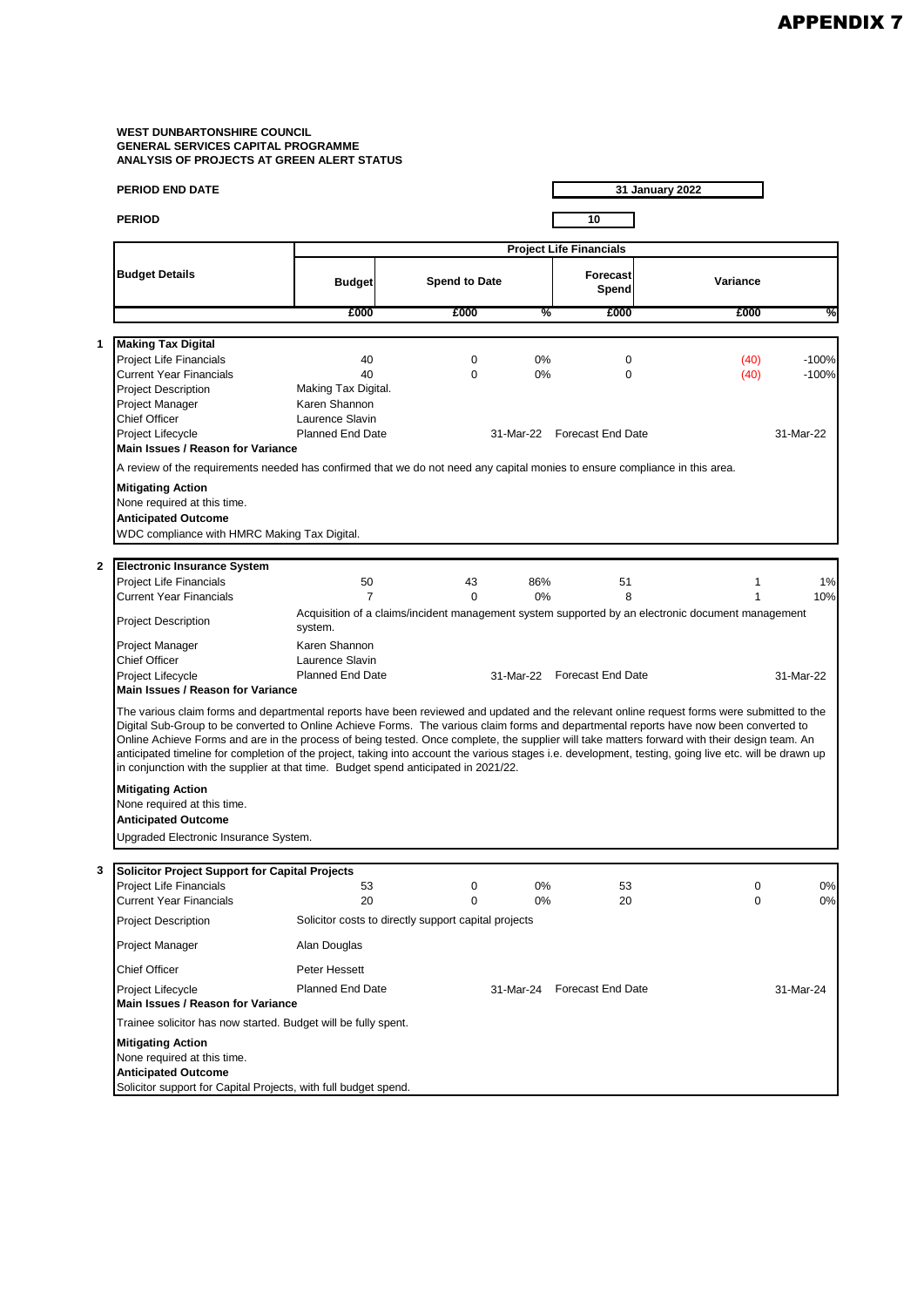|                                                                                    | PERIOD END DATE                                                                                                                                                                                                                                                                                                                                                                                                                                                                                                                                                                                                                                                                         |                                            |                      |     | 31 January 2022             |                                                                                                   |           |  |  |
|------------------------------------------------------------------------------------|-----------------------------------------------------------------------------------------------------------------------------------------------------------------------------------------------------------------------------------------------------------------------------------------------------------------------------------------------------------------------------------------------------------------------------------------------------------------------------------------------------------------------------------------------------------------------------------------------------------------------------------------------------------------------------------------|--------------------------------------------|----------------------|-----|-----------------------------|---------------------------------------------------------------------------------------------------|-----------|--|--|
|                                                                                    | <b>PERIOD</b>                                                                                                                                                                                                                                                                                                                                                                                                                                                                                                                                                                                                                                                                           |                                            |                      |     | 10                          |                                                                                                   |           |  |  |
|                                                                                    |                                                                                                                                                                                                                                                                                                                                                                                                                                                                                                                                                                                                                                                                                         | <b>Project Life Financials</b>             |                      |     |                             |                                                                                                   |           |  |  |
|                                                                                    | <b>Budget Details</b>                                                                                                                                                                                                                                                                                                                                                                                                                                                                                                                                                                                                                                                                   | <b>Budget</b>                              | <b>Spend to Date</b> |     | Forecast<br>Spend           | Variance                                                                                          |           |  |  |
|                                                                                    |                                                                                                                                                                                                                                                                                                                                                                                                                                                                                                                                                                                                                                                                                         | £000                                       | £000                 | %   | £000                        | £000                                                                                              | %         |  |  |
|                                                                                    |                                                                                                                                                                                                                                                                                                                                                                                                                                                                                                                                                                                                                                                                                         |                                            |                      |     |                             |                                                                                                   |           |  |  |
| 1                                                                                  | <b>Making Tax Digital</b><br>Project Life Financials                                                                                                                                                                                                                                                                                                                                                                                                                                                                                                                                                                                                                                    | 40                                         | 0                    | 0%  | 0                           | (40)                                                                                              | $-100%$   |  |  |
|                                                                                    | <b>Current Year Financials</b>                                                                                                                                                                                                                                                                                                                                                                                                                                                                                                                                                                                                                                                          | 40                                         | $\Omega$             | 0%  | $\mathbf 0$                 | (40)                                                                                              | $-100%$   |  |  |
|                                                                                    | <b>Project Description</b>                                                                                                                                                                                                                                                                                                                                                                                                                                                                                                                                                                                                                                                              | Making Tax Digital.                        |                      |     |                             |                                                                                                   |           |  |  |
|                                                                                    | Project Manager                                                                                                                                                                                                                                                                                                                                                                                                                                                                                                                                                                                                                                                                         | Karen Shannon                              |                      |     |                             |                                                                                                   |           |  |  |
|                                                                                    | Chief Officer<br>Project Lifecycle                                                                                                                                                                                                                                                                                                                                                                                                                                                                                                                                                                                                                                                      | Laurence Slavin<br><b>Planned End Date</b> |                      |     | 31-Mar-22 Forecast End Date |                                                                                                   | 31-Mar-22 |  |  |
|                                                                                    | Main Issues / Reason for Variance                                                                                                                                                                                                                                                                                                                                                                                                                                                                                                                                                                                                                                                       |                                            |                      |     |                             |                                                                                                   |           |  |  |
|                                                                                    | A review of the requirements needed has confirmed that we do not need any capital monies to ensure compliance in this area.                                                                                                                                                                                                                                                                                                                                                                                                                                                                                                                                                             |                                            |                      |     |                             |                                                                                                   |           |  |  |
|                                                                                    | <b>Mitigating Action</b>                                                                                                                                                                                                                                                                                                                                                                                                                                                                                                                                                                                                                                                                |                                            |                      |     |                             |                                                                                                   |           |  |  |
|                                                                                    | None required at this time.                                                                                                                                                                                                                                                                                                                                                                                                                                                                                                                                                                                                                                                             |                                            |                      |     |                             |                                                                                                   |           |  |  |
|                                                                                    | <b>Anticipated Outcome</b>                                                                                                                                                                                                                                                                                                                                                                                                                                                                                                                                                                                                                                                              |                                            |                      |     |                             |                                                                                                   |           |  |  |
|                                                                                    | WDC compliance with HMRC Making Tax Digital.                                                                                                                                                                                                                                                                                                                                                                                                                                                                                                                                                                                                                                            |                                            |                      |     |                             |                                                                                                   |           |  |  |
| 2                                                                                  | <b>Electronic Insurance System</b>                                                                                                                                                                                                                                                                                                                                                                                                                                                                                                                                                                                                                                                      |                                            |                      |     |                             |                                                                                                   |           |  |  |
|                                                                                    | <b>Project Life Financials</b>                                                                                                                                                                                                                                                                                                                                                                                                                                                                                                                                                                                                                                                          | 50                                         | 43                   | 86% | 51                          | 1                                                                                                 | 1%        |  |  |
|                                                                                    | <b>Current Year Financials</b>                                                                                                                                                                                                                                                                                                                                                                                                                                                                                                                                                                                                                                                          | $\overline{7}$                             | $\Omega$             | 0%  | 8                           | 1                                                                                                 | 10%       |  |  |
|                                                                                    | <b>Project Description</b>                                                                                                                                                                                                                                                                                                                                                                                                                                                                                                                                                                                                                                                              | system.                                    |                      |     |                             | Acquisition of a claims/incident management system supported by an electronic document management |           |  |  |
|                                                                                    | Project Manager                                                                                                                                                                                                                                                                                                                                                                                                                                                                                                                                                                                                                                                                         | Karen Shannon                              |                      |     |                             |                                                                                                   |           |  |  |
|                                                                                    | <b>Chief Officer</b>                                                                                                                                                                                                                                                                                                                                                                                                                                                                                                                                                                                                                                                                    | Laurence Slavin<br><b>Planned End Date</b> |                      |     | 31-Mar-22 Forecast End Date |                                                                                                   | 31-Mar-22 |  |  |
|                                                                                    | Project Lifecycle<br><b>Main Issues / Reason for Variance</b>                                                                                                                                                                                                                                                                                                                                                                                                                                                                                                                                                                                                                           |                                            |                      |     |                             |                                                                                                   |           |  |  |
|                                                                                    | The various claim forms and departmental reports have been reviewed and updated and the relevant online request forms were submitted to the<br>Digital Sub-Group to be converted to Online Achieve Forms. The various claim forms and departmental reports have now been converted to<br>Online Achieve Forms and are in the process of being tested. Once complete, the supplier will take matters forward with their design team. An<br>anticipated timeline for completion of the project, taking into account the various stages i.e. development, testing, going live etc. will be drawn up<br>in conjunction with the supplier at that time. Budget spend anticipated in 2021/22. |                                            |                      |     |                             |                                                                                                   |           |  |  |
|                                                                                    | <b>Mitigating Action</b>                                                                                                                                                                                                                                                                                                                                                                                                                                                                                                                                                                                                                                                                |                                            |                      |     |                             |                                                                                                   |           |  |  |
|                                                                                    | None required at this time.                                                                                                                                                                                                                                                                                                                                                                                                                                                                                                                                                                                                                                                             |                                            |                      |     |                             |                                                                                                   |           |  |  |
|                                                                                    | <b>Anticipated Outcome</b>                                                                                                                                                                                                                                                                                                                                                                                                                                                                                                                                                                                                                                                              |                                            |                      |     |                             |                                                                                                   |           |  |  |
|                                                                                    | Upgraded Electronic Insurance System.                                                                                                                                                                                                                                                                                                                                                                                                                                                                                                                                                                                                                                                   |                                            |                      |     |                             |                                                                                                   |           |  |  |
| 3                                                                                  | Solicitor Project Support for Capital Projects                                                                                                                                                                                                                                                                                                                                                                                                                                                                                                                                                                                                                                          |                                            |                      |     |                             |                                                                                                   |           |  |  |
|                                                                                    | <b>Project Life Financials</b>                                                                                                                                                                                                                                                                                                                                                                                                                                                                                                                                                                                                                                                          | 53                                         | 0                    | 0%  | 53                          | 0                                                                                                 | 0%        |  |  |
|                                                                                    | <b>Current Year Financials</b>                                                                                                                                                                                                                                                                                                                                                                                                                                                                                                                                                                                                                                                          | 20                                         | 0                    | 0%  | 20                          | $\Omega$                                                                                          | 0%        |  |  |
| Solicitor costs to directly support capital projects<br><b>Project Description</b> |                                                                                                                                                                                                                                                                                                                                                                                                                                                                                                                                                                                                                                                                                         |                                            |                      |     |                             |                                                                                                   |           |  |  |
|                                                                                    | Project Manager                                                                                                                                                                                                                                                                                                                                                                                                                                                                                                                                                                                                                                                                         | Alan Douglas                               |                      |     |                             |                                                                                                   |           |  |  |
|                                                                                    | Chief Officer                                                                                                                                                                                                                                                                                                                                                                                                                                                                                                                                                                                                                                                                           | Peter Hessett                              |                      |     |                             |                                                                                                   |           |  |  |
|                                                                                    | Project Lifecycle<br>Main Issues / Reason for Variance                                                                                                                                                                                                                                                                                                                                                                                                                                                                                                                                                                                                                                  | <b>Planned End Date</b>                    |                      |     | 31-Mar-24 Forecast End Date |                                                                                                   | 31-Mar-24 |  |  |
| Trainee solicitor has now started. Budget will be fully spent.                     |                                                                                                                                                                                                                                                                                                                                                                                                                                                                                                                                                                                                                                                                                         |                                            |                      |     |                             |                                                                                                   |           |  |  |
|                                                                                    | <b>Mitigating Action</b>                                                                                                                                                                                                                                                                                                                                                                                                                                                                                                                                                                                                                                                                |                                            |                      |     |                             |                                                                                                   |           |  |  |
|                                                                                    | None required at this time.                                                                                                                                                                                                                                                                                                                                                                                                                                                                                                                                                                                                                                                             |                                            |                      |     |                             |                                                                                                   |           |  |  |
|                                                                                    | <b>Anticipated Outcome</b>                                                                                                                                                                                                                                                                                                                                                                                                                                                                                                                                                                                                                                                              |                                            |                      |     |                             |                                                                                                   |           |  |  |
|                                                                                    | Solicitor support for Capital Projects, with full budget spend.                                                                                                                                                                                                                                                                                                                                                                                                                                                                                                                                                                                                                         |                                            |                      |     |                             |                                                                                                   |           |  |  |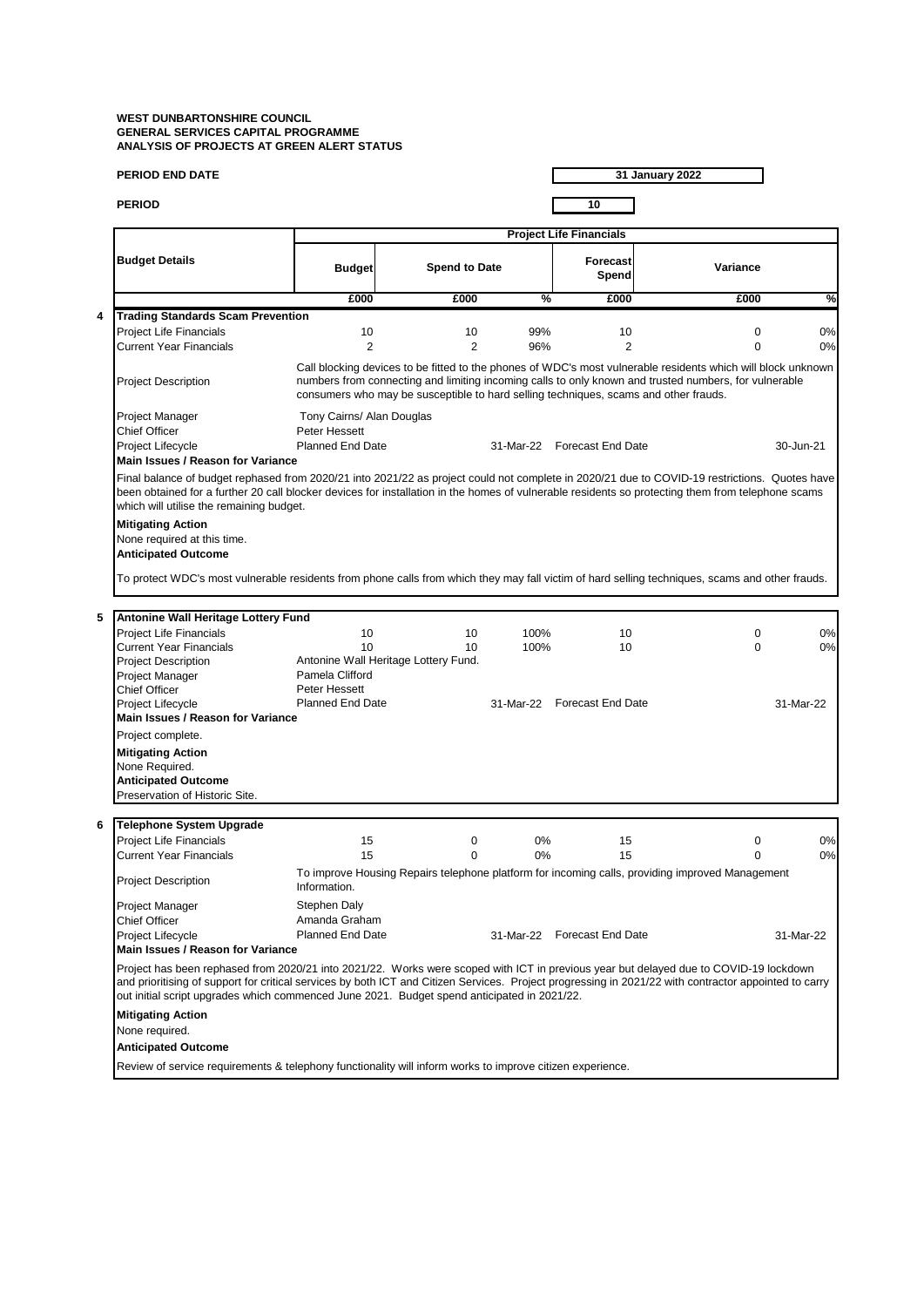| <b>PERIOD END DATE</b><br><b>PERIOD</b>                                                                                                                                                                                                                                                                                                        |                                                                                                                                                                                                                                                                                                                                                                                               |                      |               | 31 January 2022             |                                                                                                 |           |  |  |  |
|------------------------------------------------------------------------------------------------------------------------------------------------------------------------------------------------------------------------------------------------------------------------------------------------------------------------------------------------|-----------------------------------------------------------------------------------------------------------------------------------------------------------------------------------------------------------------------------------------------------------------------------------------------------------------------------------------------------------------------------------------------|----------------------|---------------|-----------------------------|-------------------------------------------------------------------------------------------------|-----------|--|--|--|
|                                                                                                                                                                                                                                                                                                                                                |                                                                                                                                                                                                                                                                                                                                                                                               |                      |               | 10                          |                                                                                                 |           |  |  |  |
|                                                                                                                                                                                                                                                                                                                                                | <b>Project Life Financials</b>                                                                                                                                                                                                                                                                                                                                                                |                      |               |                             |                                                                                                 |           |  |  |  |
| <b>Budget Details</b>                                                                                                                                                                                                                                                                                                                          | <b>Budget</b>                                                                                                                                                                                                                                                                                                                                                                                 | <b>Spend to Date</b> |               | Forecast<br>Spend           | Variance                                                                                        |           |  |  |  |
|                                                                                                                                                                                                                                                                                                                                                | £000                                                                                                                                                                                                                                                                                                                                                                                          | £000                 | $\frac{9}{6}$ | £000                        | £000                                                                                            | %         |  |  |  |
| <b>Trading Standards Scam Prevention</b>                                                                                                                                                                                                                                                                                                       |                                                                                                                                                                                                                                                                                                                                                                                               |                      |               |                             |                                                                                                 |           |  |  |  |
| Project Life Financials                                                                                                                                                                                                                                                                                                                        | 10                                                                                                                                                                                                                                                                                                                                                                                            | 10                   | 99%           | 10                          | 0                                                                                               | 0%        |  |  |  |
| <b>Current Year Financials</b>                                                                                                                                                                                                                                                                                                                 | $\overline{2}$                                                                                                                                                                                                                                                                                                                                                                                | $\overline{2}$       | 96%           | $\overline{2}$              | 0                                                                                               | 0%        |  |  |  |
| <b>Project Description</b>                                                                                                                                                                                                                                                                                                                     | Call blocking devices to be fitted to the phones of WDC's most vulnerable residents which will block unknown<br>numbers from connecting and limiting incoming calls to only known and trusted numbers, for vulnerable<br>consumers who may be susceptible to hard selling techniques, scams and other frauds.                                                                                 |                      |               |                             |                                                                                                 |           |  |  |  |
| Project Manager                                                                                                                                                                                                                                                                                                                                | Tony Cairns/ Alan Douglas                                                                                                                                                                                                                                                                                                                                                                     |                      |               |                             |                                                                                                 |           |  |  |  |
| Chief Officer                                                                                                                                                                                                                                                                                                                                  | Peter Hessett                                                                                                                                                                                                                                                                                                                                                                                 |                      |               |                             |                                                                                                 |           |  |  |  |
| Project Lifecycle                                                                                                                                                                                                                                                                                                                              | <b>Planned End Date</b>                                                                                                                                                                                                                                                                                                                                                                       |                      | 31-Mar-22     | <b>Forecast End Date</b>    |                                                                                                 | 30-Jun-21 |  |  |  |
| Main Issues / Reason for Variance                                                                                                                                                                                                                                                                                                              |                                                                                                                                                                                                                                                                                                                                                                                               |                      |               |                             |                                                                                                 |           |  |  |  |
| Final balance of budget rephased from 2020/21 into 2021/22 as project could not complete in 2020/21 due to COVID-19 restrictions. Quotes have<br>been obtained for a further 20 call blocker devices for installation in the homes of vulnerable residents so protecting them from telephone scams<br>which will utilise the remaining budget. |                                                                                                                                                                                                                                                                                                                                                                                               |                      |               |                             |                                                                                                 |           |  |  |  |
| <b>Mitigating Action</b><br>None required at this time.<br><b>Anticipated Outcome</b>                                                                                                                                                                                                                                                          |                                                                                                                                                                                                                                                                                                                                                                                               |                      |               |                             |                                                                                                 |           |  |  |  |
| To protect WDC's most vulnerable residents from phone calls from which they may fall victim of hard selling techniques, scams and other frauds.                                                                                                                                                                                                |                                                                                                                                                                                                                                                                                                                                                                                               |                      |               |                             |                                                                                                 |           |  |  |  |
| Antonine Wall Heritage Lottery Fund                                                                                                                                                                                                                                                                                                            |                                                                                                                                                                                                                                                                                                                                                                                               |                      |               |                             |                                                                                                 |           |  |  |  |
| <b>Project Life Financials</b>                                                                                                                                                                                                                                                                                                                 | 10                                                                                                                                                                                                                                                                                                                                                                                            | 10                   | 100%          | 10                          | 0                                                                                               | 0%        |  |  |  |
| <b>Current Year Financials</b>                                                                                                                                                                                                                                                                                                                 | 10                                                                                                                                                                                                                                                                                                                                                                                            | 10                   | 100%          | 10                          | 0                                                                                               | 0%        |  |  |  |
| <b>Project Description</b>                                                                                                                                                                                                                                                                                                                     | Antonine Wall Heritage Lottery Fund.                                                                                                                                                                                                                                                                                                                                                          |                      |               |                             |                                                                                                 |           |  |  |  |
| Project Manager                                                                                                                                                                                                                                                                                                                                | Pamela Clifford                                                                                                                                                                                                                                                                                                                                                                               |                      |               |                             |                                                                                                 |           |  |  |  |
| <b>Chief Officer</b>                                                                                                                                                                                                                                                                                                                           | Peter Hessett                                                                                                                                                                                                                                                                                                                                                                                 |                      |               |                             |                                                                                                 |           |  |  |  |
| Project Lifecycle                                                                                                                                                                                                                                                                                                                              | <b>Planned End Date</b>                                                                                                                                                                                                                                                                                                                                                                       |                      |               | 31-Mar-22 Forecast End Date |                                                                                                 | 31-Mar-22 |  |  |  |
| Main Issues / Reason for Variance                                                                                                                                                                                                                                                                                                              |                                                                                                                                                                                                                                                                                                                                                                                               |                      |               |                             |                                                                                                 |           |  |  |  |
| Project complete.                                                                                                                                                                                                                                                                                                                              |                                                                                                                                                                                                                                                                                                                                                                                               |                      |               |                             |                                                                                                 |           |  |  |  |
| <b>Mitigating Action</b>                                                                                                                                                                                                                                                                                                                       |                                                                                                                                                                                                                                                                                                                                                                                               |                      |               |                             |                                                                                                 |           |  |  |  |
| None Required.                                                                                                                                                                                                                                                                                                                                 |                                                                                                                                                                                                                                                                                                                                                                                               |                      |               |                             |                                                                                                 |           |  |  |  |
| <b>Anticipated Outcome</b><br>Preservation of Historic Site.                                                                                                                                                                                                                                                                                   |                                                                                                                                                                                                                                                                                                                                                                                               |                      |               |                             |                                                                                                 |           |  |  |  |
|                                                                                                                                                                                                                                                                                                                                                |                                                                                                                                                                                                                                                                                                                                                                                               |                      |               |                             |                                                                                                 |           |  |  |  |
| Telephone System Upgrade                                                                                                                                                                                                                                                                                                                       |                                                                                                                                                                                                                                                                                                                                                                                               |                      |               |                             |                                                                                                 |           |  |  |  |
| <b>Project Life Financials</b>                                                                                                                                                                                                                                                                                                                 | 15                                                                                                                                                                                                                                                                                                                                                                                            | $\mathbf 0$          | 0%            | 15                          | 0                                                                                               | 0%        |  |  |  |
| <b>Current Year Financials</b>                                                                                                                                                                                                                                                                                                                 | 15                                                                                                                                                                                                                                                                                                                                                                                            | 0                    | 0%            | 15                          | $\Omega$                                                                                        | 0%        |  |  |  |
| <b>Project Description</b>                                                                                                                                                                                                                                                                                                                     | Information.                                                                                                                                                                                                                                                                                                                                                                                  |                      |               |                             | To improve Housing Repairs telephone platform for incoming calls, providing improved Management |           |  |  |  |
| Project Manager                                                                                                                                                                                                                                                                                                                                | Stephen Daly                                                                                                                                                                                                                                                                                                                                                                                  |                      |               |                             |                                                                                                 |           |  |  |  |
| Chief Officer                                                                                                                                                                                                                                                                                                                                  | Amanda Graham                                                                                                                                                                                                                                                                                                                                                                                 |                      |               |                             |                                                                                                 |           |  |  |  |
| Project Lifecycle                                                                                                                                                                                                                                                                                                                              | <b>Planned End Date</b>                                                                                                                                                                                                                                                                                                                                                                       |                      |               | 31-Mar-22 Forecast End Date |                                                                                                 | 31-Mar-22 |  |  |  |
|                                                                                                                                                                                                                                                                                                                                                | Main Issues / Reason for Variance                                                                                                                                                                                                                                                                                                                                                             |                      |               |                             |                                                                                                 |           |  |  |  |
|                                                                                                                                                                                                                                                                                                                                                | Project has been rephased from 2020/21 into 2021/22. Works were scoped with ICT in previous year but delayed due to COVID-19 lockdown<br>and prioritising of support for critical services by both ICT and Citizen Services. Project progressing in 2021/22 with contractor appointed to carry<br>out initial script upgrades which commenced June 2021. Budget spend anticipated in 2021/22. |                      |               |                             |                                                                                                 |           |  |  |  |
| <b>Mitigating Action</b>                                                                                                                                                                                                                                                                                                                       |                                                                                                                                                                                                                                                                                                                                                                                               |                      |               |                             |                                                                                                 |           |  |  |  |
| None required.                                                                                                                                                                                                                                                                                                                                 |                                                                                                                                                                                                                                                                                                                                                                                               |                      |               |                             |                                                                                                 |           |  |  |  |
| <b>Anticipated Outcome</b>                                                                                                                                                                                                                                                                                                                     |                                                                                                                                                                                                                                                                                                                                                                                               |                      |               |                             |                                                                                                 |           |  |  |  |
|                                                                                                                                                                                                                                                                                                                                                |                                                                                                                                                                                                                                                                                                                                                                                               |                      |               |                             |                                                                                                 |           |  |  |  |
| Review of service requirements & telephony functionality will inform works to improve citizen experience.                                                                                                                                                                                                                                      |                                                                                                                                                                                                                                                                                                                                                                                               |                      |               |                             |                                                                                                 |           |  |  |  |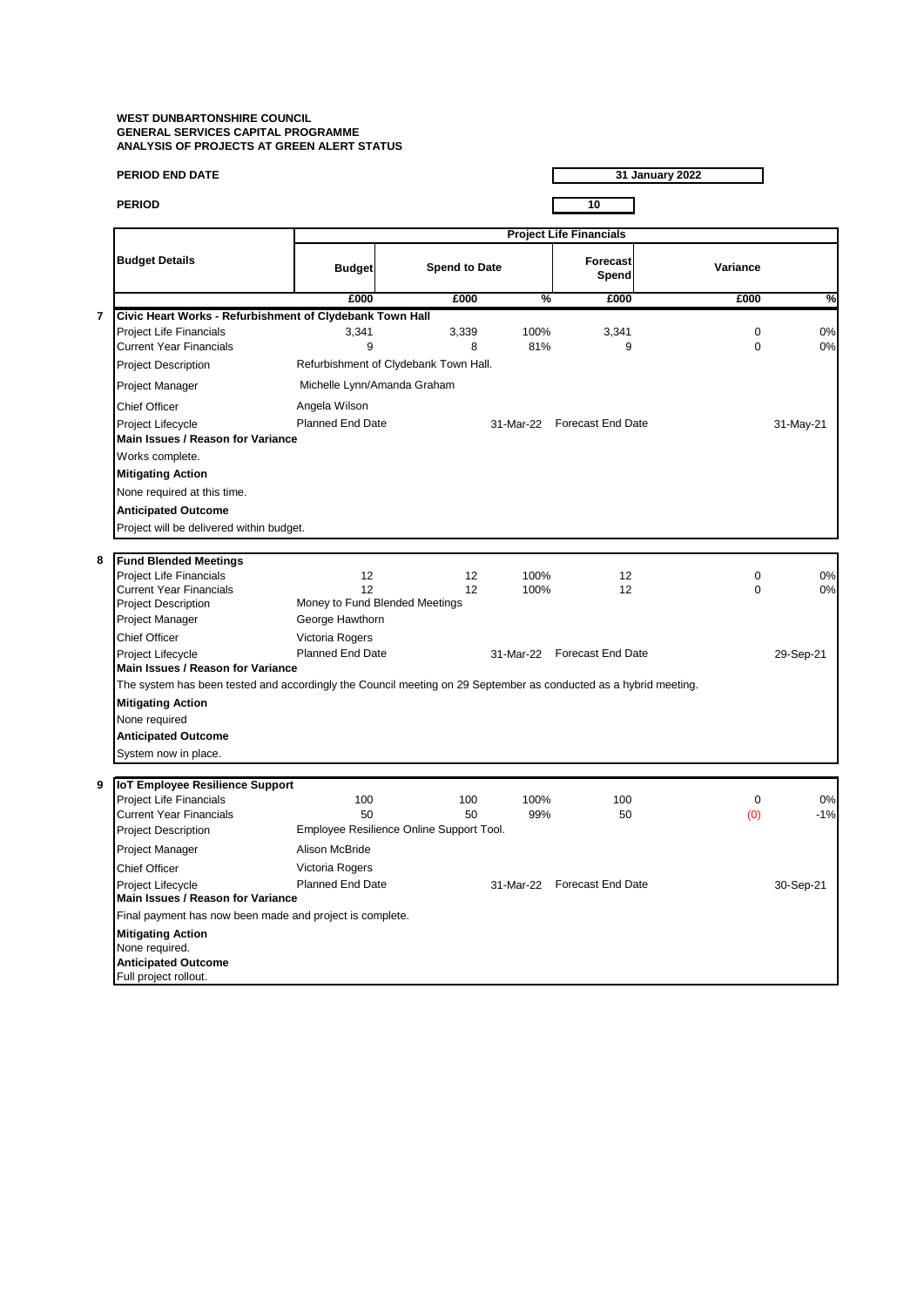**31 January 2022**

**PERIOD 10**

П

|                                                                                                                                              | <b>Project Life Financials</b>                                                                    |                                |                                            |               |                             |             |           |  |
|----------------------------------------------------------------------------------------------------------------------------------------------|---------------------------------------------------------------------------------------------------|--------------------------------|--------------------------------------------|---------------|-----------------------------|-------------|-----------|--|
|                                                                                                                                              | <b>Budget Details</b>                                                                             | <b>Budget</b>                  | <b>Spend to Date</b>                       |               | <b>Forecast</b><br>Spend    | Variance    |           |  |
|                                                                                                                                              |                                                                                                   | £000                           | £000                                       | $\frac{9}{6}$ | £000                        | £000        | %         |  |
| $\overline{7}$                                                                                                                               | Civic Heart Works - Refurbishment of Clydebank Town Hall                                          |                                |                                            |               |                             |             |           |  |
|                                                                                                                                              | Project Life Financials                                                                           | 3,341                          | 3,339                                      | 100%          | 3,341                       | $\mathbf 0$ | 0%        |  |
|                                                                                                                                              | <b>Current Year Financials</b>                                                                    | 9                              | 8<br>Refurbishment of Clydebank Town Hall. | 81%           | 9                           | 0           | 0%        |  |
|                                                                                                                                              | <b>Project Description</b>                                                                        |                                |                                            |               |                             |             |           |  |
|                                                                                                                                              | Project Manager                                                                                   | Michelle Lynn/Amanda Graham    |                                            |               |                             |             |           |  |
|                                                                                                                                              | <b>Chief Officer</b>                                                                              | Angela Wilson                  |                                            |               |                             |             |           |  |
|                                                                                                                                              | Project Lifecycle                                                                                 | Planned End Date               |                                            |               | 31-Mar-22 Forecast End Date |             | 31-May-21 |  |
|                                                                                                                                              | Main Issues / Reason for Variance                                                                 |                                |                                            |               |                             |             |           |  |
|                                                                                                                                              | Works complete.                                                                                   |                                |                                            |               |                             |             |           |  |
|                                                                                                                                              | <b>Mitigating Action</b>                                                                          |                                |                                            |               |                             |             |           |  |
|                                                                                                                                              | None required at this time.                                                                       |                                |                                            |               |                             |             |           |  |
|                                                                                                                                              | <b>Anticipated Outcome</b>                                                                        |                                |                                            |               |                             |             |           |  |
|                                                                                                                                              | Project will be delivered within budget.                                                          |                                |                                            |               |                             |             |           |  |
|                                                                                                                                              |                                                                                                   |                                |                                            |               |                             |             |           |  |
| 8                                                                                                                                            | <b>Fund Blended Meetings</b><br><b>Project Life Financials</b>                                    | 12                             | 12                                         | 100%          | 12                          | $\mathbf 0$ | 0%        |  |
|                                                                                                                                              | <b>Current Year Financials</b>                                                                    | 12                             | 12                                         | 100%          | 12                          | 0           | 0%        |  |
|                                                                                                                                              | <b>Project Description</b>                                                                        | Money to Fund Blended Meetings |                                            |               |                             |             |           |  |
|                                                                                                                                              | Project Manager                                                                                   | George Hawthorn                |                                            |               |                             |             |           |  |
|                                                                                                                                              | <b>Chief Officer</b>                                                                              | Victoria Rogers                |                                            |               |                             |             |           |  |
|                                                                                                                                              | Project Lifecycle<br><b>Main Issues / Reason for Variance</b>                                     | <b>Planned End Date</b>        |                                            | 31-Mar-22     | <b>Forecast End Date</b>    |             | 29-Sep-21 |  |
| The system has been tested and accordingly the Council meeting on 29 September as conducted as a hybrid meeting.<br><b>Mitigating Action</b> |                                                                                                   |                                |                                            |               |                             |             |           |  |
|                                                                                                                                              |                                                                                                   |                                |                                            |               |                             |             |           |  |
|                                                                                                                                              | None required                                                                                     |                                |                                            |               |                             |             |           |  |
|                                                                                                                                              | <b>Anticipated Outcome</b>                                                                        |                                |                                            |               |                             |             |           |  |
|                                                                                                                                              | System now in place.                                                                              |                                |                                            |               |                             |             |           |  |
| 9                                                                                                                                            | IoT Employee Resilience Support                                                                   |                                |                                            |               |                             |             |           |  |
|                                                                                                                                              | <b>Project Life Financials</b>                                                                    | 100                            | 100                                        | 100%          | 100                         | $\mathbf 0$ | 0%        |  |
|                                                                                                                                              | <b>Current Year Financials</b>                                                                    | 50                             | 50                                         | 99%           | 50                          | (0)         | $-1%$     |  |
|                                                                                                                                              | <b>Project Description</b>                                                                        |                                | Employee Resilience Online Support Tool.   |               |                             |             |           |  |
|                                                                                                                                              | Project Manager                                                                                   | Alison McBride                 |                                            |               |                             |             |           |  |
|                                                                                                                                              | <b>Chief Officer</b>                                                                              | Victoria Rogers                |                                            |               |                             |             |           |  |
|                                                                                                                                              | Project Lifecycle<br>Main Issues / Reason for Variance                                            | <b>Planned End Date</b>        |                                            | 31-Mar-22     | Forecast End Date           |             | 30-Sep-21 |  |
|                                                                                                                                              | Final payment has now been made and project is complete.                                          |                                |                                            |               |                             |             |           |  |
|                                                                                                                                              | <b>Mitigating Action</b><br>None required.<br><b>Anticipated Outcome</b><br>Full project rollout. |                                |                                            |               |                             |             |           |  |